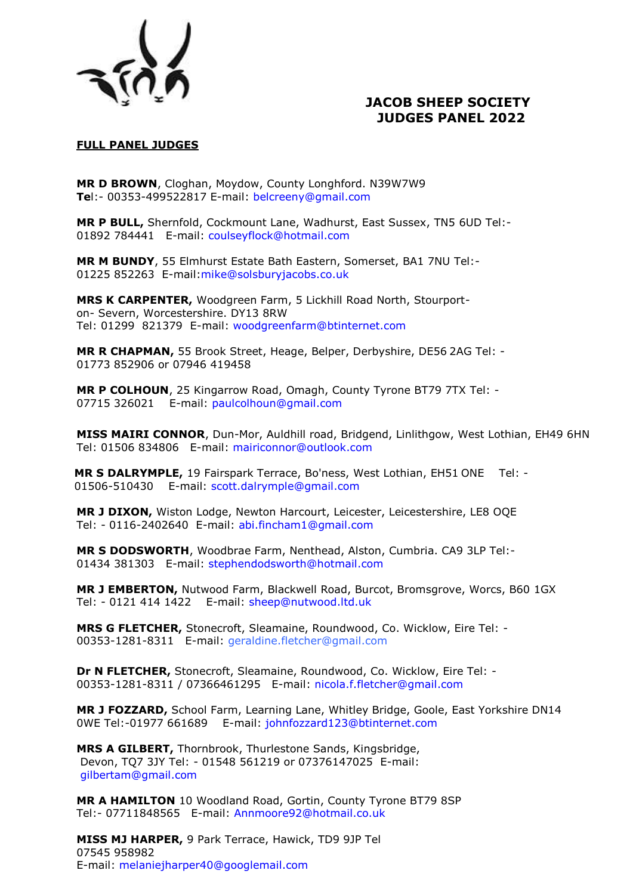

# **JACOB SHEEP SOCIETY JUDGES PANEL 2022**

## **FULL PANEL JUDGES**

**MR D BROWN**, Cloghan, Moydow, County Longhford. N39W7W9 **Te**l:- 00353-499522817 E-mail: belcreeny@gmail.com

**MR P BULL,** Shernfold, Cockmount Lane, Wadhurst, East Sussex, TN5 6UD Tel:- 01892 784441 E-mail: coulseyflock@hotmail.com

**MR M BUNDY**, 55 Elmhurst Estate Bath Eastern, Somerset, BA1 7NU Tel:- 01225 852263 E-mail:mike@solsburyjacobs.co.uk

**MRS K CARPENTER,** Woodgreen Farm, 5 Lickhill Road North, Stourporton- Severn, Worcestershire. DY13 8RW Tel: 01299 821379 E-mail: woodgreenfarm@btinternet.com

**MR R CHAPMAN,** 55 Brook Street, Heage, Belper, Derbyshire, DE56 2AG Tel: - 01773 852906 or 07946 419458

**MR P COLHOUN**, 25 Kingarrow Road, Omagh, County Tyrone BT79 7TX Tel: - 07715 326021 E-mail: paulcolhoun@gmail.com

**MISS MAIRI CONNOR**, Dun-Mor, Auldhill road, Bridgend, Linlithgow, West Lothian, EH49 6HN Tel: 01506 834806 E-mail: mairiconnor@outlook.com

**MR S DALRYMPLE,** 19 Fairspark Terrace, Bo'ness, West Lothian, EH51 ONE Tel: - 01506-510430 E-mail: scott.dalrymple@gmail.com

**MR J DIXON,** Wiston Lodge, Newton Harcourt, Leicester, Leicestershire, LE8 OQE Tel: - 0116-2402640 E-mail: abi.fincham1@gmail.com

**MR S DODSWORTH**, Woodbrae Farm, Nenthead, Alston, Cumbria. CA9 3LP Tel:- 01434 381303 E-mail: stephendodsworth@hotmail.com

**MR J EMBERTON,** Nutwood Farm, Blackwell Road, Burcot, Bromsgrove, Worcs, B60 1GX Tel: - 0121 414 1422 E-mail: sheep@nutwood.ltd.uk

**MRS G FLETCHER,** Stonecroft, Sleamaine, Roundwood, Co. Wicklow, Eire Tel: - 00353-1281-8311 E-mail: geraldine.fletcher@gmail.com

**Dr N FLETCHER,** Stonecroft, Sleamaine, Roundwood, Co. Wicklow, Eire Tel: - 00353-1281-8311 / 07366461295 E-mail: nicola.f.fletcher@gmail.com

**MR J FOZZARD,** School Farm, Learning Lane, Whitley Bridge, Goole, East Yorkshire DN14 0WE Tel:-01977 661689 E-mail: johnfozzard123@btinternet.com

**MRS A GILBERT,** Thornbrook, Thurlestone Sands, Kingsbridge, Devon, TQ7 3JY Tel: - 01548 561219 or 07376147025 E-mail: gilbertam@gmail.com

**MR A HAMILTON** 10 Woodland Road, Gortin, County Tyrone BT79 8SP [Tel:-](tel:-) 07711848565 E-mail: Annmoore92@hotmail.co.uk

**MISS MJ HARPER,** 9 Park Terrace, Hawick, TD9 9JP Tel 07545 958982 E-mail: melaniejharper40@googlemail.com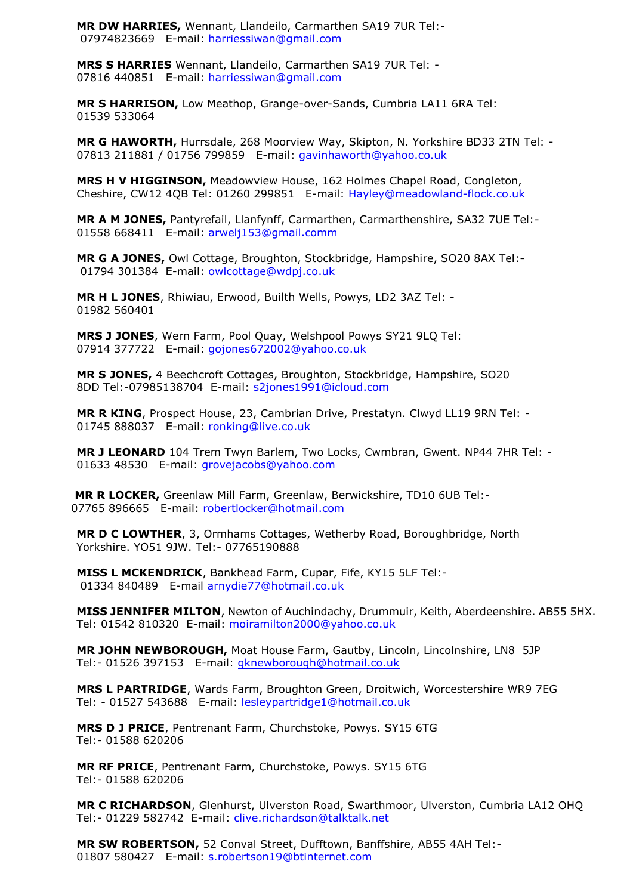**MR DW HARRIES,** Wennant, Llandeilo, Carmarthen SA19 7UR Tel:- 07974823669 E-mail: harriessiwan@gmail.com

**MRS S HARRIES** Wennant, Llandeilo, Carmarthen SA19 7UR Tel: - 07816 440851 E-mail: harriessiwan@gmail.com

**MR S HARRISON,** Low Meathop, Grange-over-Sands, Cumbria LA11 6RA Tel: 01539 533064

**MR G HAWORTH,** Hurrsdale, 268 Moorview Way, Skipton, N. Yorkshire BD33 2TN Tel: - 07813 211881 / 01756 799859 E-mail: gavinhaworth@yahoo.co.uk

**MRS H V HIGGINSON,** Meadowview House, 162 Holmes Chapel Road, Congleton, Cheshire, CW12 4QB Tel: 01260 299851 E-mail: Hayley@meadowland-flock.co.uk

**MR A M JONES,** Pantyrefail, Llanfynff, Carmarthen, Carmarthenshire, SA32 7UE Tel:- 01558 668411 E-mail: arwelj153@gmail.comm

**MR G A JONES,** Owl Cottage, Broughton, Stockbridge, Hampshire, SO20 8AX Tel:- 01794 301384 E-mail: owlcottage@wdpj.co.uk

**MR H L JONES**, Rhiwiau, Erwood, Builth Wells, Powys, LD2 3AZ Tel: - 01982 560401

**MRS J JONES**, Wern Farm, Pool Quay, Welshpool Powys SY21 9LQ Tel: 07914 377722 E-mail: gojones672002@yahoo.co.uk

**MR S JONES,** 4 Beechcroft Cottages, Broughton, Stockbridge, Hampshire, SO20 8DD Tel:-07985138704 E-mail: s2jones1991@icloud.com

**MR R KING**, Prospect House, 23, Cambrian Drive, Prestatyn. Clwyd LL19 9RN Tel: - 01745 888037 E-mail: ronking@live.co.uk

**MR J LEONARD** 104 Trem Twyn Barlem, Two Locks, Cwmbran, Gwent. NP44 7HR Tel: - 01633 48530 E-mail: grovejacobs@yahoo.com

 **MR R LOCKER,** Greenlaw Mill Farm, Greenlaw, Berwickshire, TD10 6UB Tel:- 07765 896665 E-mail: robertlocker@hotmail.com

**MR D C LOWTHER**, 3, Ormhams Cottages, Wetherby Road, Boroughbridge, North Yorkshire. YO51 9JW. [Tel:-](tel:-) 07765190888

**MISS L MCKENDRICK**, Bankhead Farm, Cupar, Fife, KY15 5LF Tel:- 01334 840489 E-mail arnydie77@hotmail.co.uk

**MISS JENNIFER MILTON**, Newton of Auchindachy, Drummuir, Keith, Aberdeenshire. AB55 5HX. Tel: 01542 810320 E-mail: [moiramilton2000@yahoo.co.uk](mailto:moiramilton2000@yahoo.co.uk) 

**MR JOHN NEWBOROUGH, Moat House Farm, Gautby, Lincoln, Lincolnshire, LN8 5JP** Tel:- 01526 397153 E-mail: *gknewborough@hotmail.co.uk* 

**MRS L PARTRIDGE**, Wards Farm, Broughton Green, Droitwich, Worcestershire WR9 7EG Tel: - 01527 543688 E-mail: lesleypartridge1@hotmail.co.uk

**MRS D J PRICE**, Pentrenant Farm, Churchstoke, Powys. SY15 6TG Tel:- 01588 620206

**MR RF PRICE**, Pentrenant Farm, Churchstoke, Powys. SY15 6TG Tel:- 01588 620206

**MR C RICHARDSON**, Glenhurst, Ulverston Road, Swarthmoor, Ulverston, Cumbria LA12 OHQ Tel:- 01229 582742 E-mail: clive.richardson@talktalk.net

**MR SW ROBERTSON,** 52 Conval Street, Dufftown, Banffshire, AB55 4AH Tel:- 01807 580427 E-mail: s.robertson19@btinternet.com